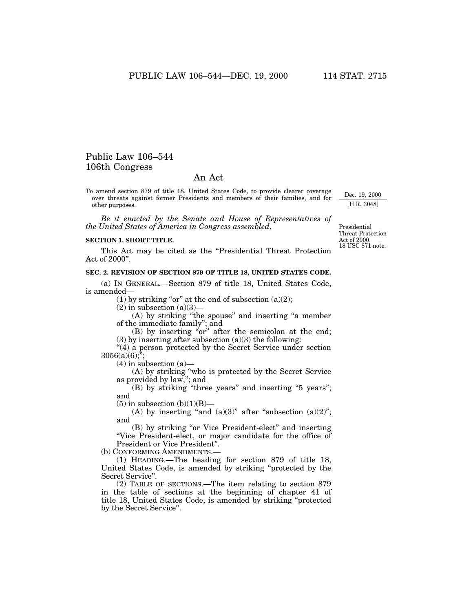# Public Law 106–544 106th Congress

# An Act

To amend section 879 of title 18, United States Code, to provide clearer coverage over threats against former Presidents and members of their families, and for other purposes.

*Be it enacted by the Senate and House of Representatives of the United States of America in Congress assembled*,

#### **SECTION 1. SHORT TITLE.**

This Act may be cited as the "Presidential Threat Protection" Act of 2000''.

## **SEC. 2. REVISION OF SECTION 879 OF TITLE 18, UNITED STATES CODE.**

(a) IN GENERAL.—Section 879 of title 18, United States Code, is amended—

(1) by striking "or" at the end of subsection (a)(2);

 $(2)$  in subsection  $(a)(3)$ —

(A) by striking ''the spouse'' and inserting ''a member of the immediate family''; and

(B) by inserting "or" after the semicolon at the end;  $(3)$  by inserting after subsection  $(a)(3)$  the following:

"(4) a person protected by the Secret Service under section  $3056(a)(6)$ ;";

 $(4)$  in subsection  $(a)$ —

(A) by striking ''who is protected by the Secret Service as provided by law,''; and

(B) by striking "three years" and inserting "5 years"; and

 $(5)$  in subsection  $(b)(1)(B)$ —

(A) by inserting "and  $(a)(3)$ " after "subsection  $(a)(2)$ "; and

(B) by striking ''or Vice President-elect'' and inserting ''Vice President-elect, or major candidate for the office of President or Vice President''.

(b) CONFORMING AMENDMENTS.—

(1) HEADING.—The heading for section 879 of title 18, United States Code, is amended by striking ''protected by the Secret Service''.

(2) TABLE OF SECTIONS.—The item relating to section 879 in the table of sections at the beginning of chapter 41 of title 18, United States Code, is amended by striking ''protected by the Secret Service''.

Dec. 19, 2000 [H.R. 3048]

18 USC 871 note. Act of 2000. Presidential Threat Protection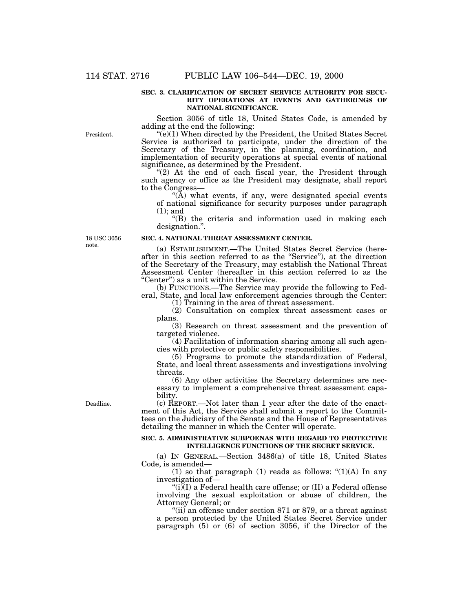#### **SEC. 3. CLARIFICATION OF SECRET SERVICE AUTHORITY FOR SECU-RITY OPERATIONS AT EVENTS AND GATHERINGS OF NATIONAL SIGNIFICANCE.**

Section 3056 of title 18, United States Code, is amended by adding at the end the following:

 $\widetilde{f}(e)(1)$  When directed by the President, the United States Secret Service is authorized to participate, under the direction of the Secretary of the Treasury, in the planning, coordination, and implementation of security operations at special events of national significance, as determined by the President.

" $(2)$  At the end of each fiscal year, the President through such agency or office as the President may designate, shall report to the Congress—

"(A) what events, if any, were designated special events of national significance for security purposes under paragraph (1); and

''(B) the criteria and information used in making each designation.''.

18 USC 3056 note.

President.

# **SEC. 4. NATIONAL THREAT ASSESSMENT CENTER.**

(a) ESTABLISHMENT.—The United States Secret Service (hereafter in this section referred to as the ''Service''), at the direction of the Secretary of the Treasury, may establish the National Threat Assessment Center (hereafter in this section referred to as the "Center") as a unit within the Service.

(b) FUNCTIONS.—The Service may provide the following to Federal, State, and local law enforcement agencies through the Center:

(1) Training in the area of threat assessment. (2) Consultation on complex threat assessment cases or

plans. (3) Research on threat assessment and the prevention of targeted violence.

(4) Facilitation of information sharing among all such agencies with protective or public safety responsibilities.

(5) Programs to promote the standardization of Federal, State, and local threat assessments and investigations involving threats.

(6) Any other activities the Secretary determines are necessary to implement a comprehensive threat assessment capability.

Deadline.

(c) REPORT.—Not later than 1 year after the date of the enactment of this Act, the Service shall submit a report to the Committees on the Judiciary of the Senate and the House of Representatives detailing the manner in which the Center will operate.

## **SEC. 5. ADMINISTRATIVE SUBPOENAS WITH REGARD TO PROTECTIVE INTELLIGENCE FUNCTIONS OF THE SECRET SERVICE.**

(a) IN GENERAL.—Section 3486(a) of title 18, United States Code, is amended—

(1) so that paragraph (1) reads as follows:  $\lq(1)(A)$  In any

investigation of—<br>"(i)(I) a Federal health care offense; or  $(II)$  a Federal offense involving the sexual exploitation or abuse of children, the Attorney General; or

''(ii) an offense under section 871 or 879, or a threat against a person protected by the United States Secret Service under paragraph (5) or (6) of section 3056, if the Director of the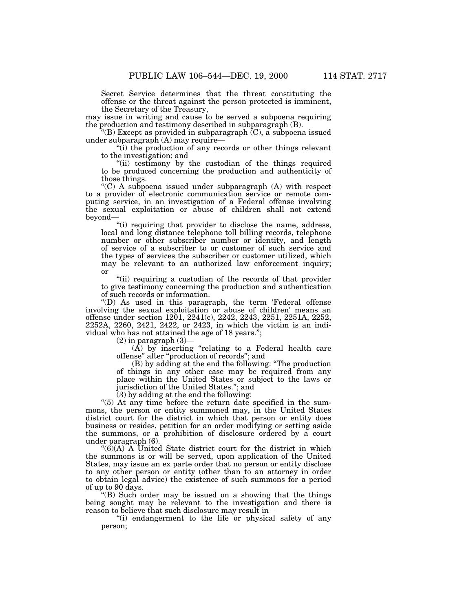Secret Service determines that the threat constituting the offense or the threat against the person protected is imminent, the Secretary of the Treasury,

may issue in writing and cause to be served a subpoena requiring the production and testimony described in subparagraph (B).

"(B) Except as provided in subparagraph  $(C)$ , a subpoena issued under subparagraph (A) may require—

''(i) the production of any records or other things relevant to the investigation; and

''(ii) testimony by the custodian of the things required to be produced concerning the production and authenticity of those things.

" $(C)$  A subpoena issued under subparagraph  $(A)$  with respect to a provider of electronic communication service or remote computing service, in an investigation of a Federal offense involving the sexual exploitation or abuse of children shall not extend beyond—

"(i) requiring that provider to disclose the name, address, local and long distance telephone toll billing records, telephone number or other subscriber number or identity, and length of service of a subscriber to or customer of such service and the types of services the subscriber or customer utilized, which may be relevant to an authorized law enforcement inquiry; or

"(ii) requiring a custodian of the records of that provider to give testimony concerning the production and authentication of such records or information.

''(D) As used in this paragraph, the term 'Federal offense involving the sexual exploitation or abuse of children' means an offense under section 1201, 2241(c), 2242, 2243, 2251, 2251A, 2252, 2252A, 2260, 2421, 2422, or 2423, in which the victim is an individual who has not attained the age of 18 years.'';

 $(2)$  in paragraph  $(3)$ -

 $(A)$  by inserting "relating to a Federal health care offense'' after ''production of records''; and

(B) by adding at the end the following: ''The production of things in any other case may be required from any place within the United States or subject to the laws or jurisdiction of the United States.''; and

(3) by adding at the end the following:

''(5) At any time before the return date specified in the summons, the person or entity summoned may, in the United States district court for the district in which that person or entity does business or resides, petition for an order modifying or setting aside the summons, or a prohibition of disclosure ordered by a court under paragraph (6).

" $(\hat{6})(A)$ " A United State district court for the district in which the summons is or will be served, upon application of the United States, may issue an ex parte order that no person or entity disclose to any other person or entity (other than to an attorney in order to obtain legal advice) the existence of such summons for a period of up to 90 days.

''(B) Such order may be issued on a showing that the things being sought may be relevant to the investigation and there is reason to believe that such disclosure may result in—

"(i) endangerment to the life or physical safety of any person;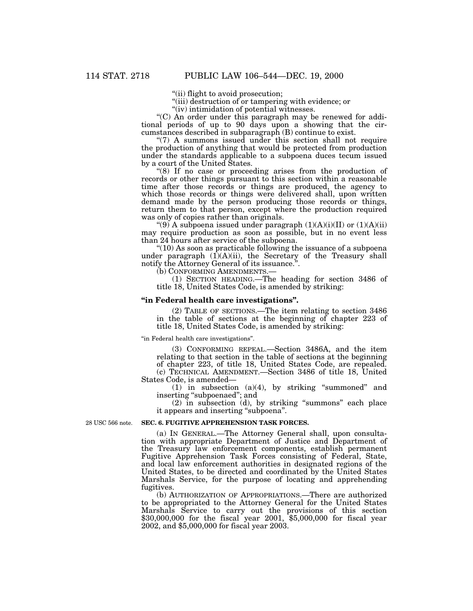''(ii) flight to avoid prosecution;

"(iii) destruction of or tampering with evidence; or "(iv) intimidation of potential witnesses.

''(iv) intimidation of potential witnesses. ''(C) An order under this paragraph may be renewed for additional periods of up to 90 days upon a showing that the circumstances described in subparagraph (B) continue to exist.

 $\degree$ (7) A summons issued under this section shall not require the production of anything that would be protected from production under the standards applicable to a subpoena duces tecum issued by a court of the United States.

"(8) If no case or proceeding arises from the production of records or other things pursuant to this section within a reasonable time after those records or things are produced, the agency to which those records or things were delivered shall, upon written demand made by the person producing those records or things, return them to that person, except where the production required was only of copies rather than originals.

"(9) A subpoena issued under paragraph  $(1)(A)(i)(II)$  or  $(1)(A)(ii)$ may require production as soon as possible, but in no event less than 24 hours after service of the subpoena.

 $\degree$ (10) As soon as practicable following the issuance of a subpoena under paragraph (1)(A)(ii), the Secretary of the Treasury shall notify the Attorney General of its issuance.<sup>'</sup>

(b) CONFORMING AMENDMENTS.—

(1) SECTION HEADING.—The heading for section 3486 of title 18, United States Code, is amended by striking:

#### **''in Federal health care investigations''.**

(2) TABLE OF SECTIONS.—The item relating to section 3486 in the table of sections at the beginning of chapter 223 of title 18, United States Code, is amended by striking:

''in Federal health care investigations''.

(3) CONFORMING REPEAL.—Section 3486A, and the item relating to that section in the table of sections at the beginning of chapter 223, of title 18, United States Code, are repealed. (c) TECHNICAL AMENDMENT.—Section 3486 of title 18, United

States Code, is amended— (1) in subsection  $(a)(4)$ , by striking "summoned" and inserting ''subpoenaed''; and

(2) in subsection (d), by striking ''summons'' each place it appears and inserting "subpoena".

28 USC 566 note.

#### **SEC. 6. FUGITIVE APPREHENSION TASK FORCES.**

(a) IN GENERAL.—The Attorney General shall, upon consultation with appropriate Department of Justice and Department of the Treasury law enforcement components, establish permanent Fugitive Apprehension Task Forces consisting of Federal, State, and local law enforcement authorities in designated regions of the United States, to be directed and coordinated by the United States Marshals Service, for the purpose of locating and apprehending fugitives.

(b) AUTHORIZATION OF APPROPRIATIONS.—There are authorized to be appropriated to the Attorney General for the United States Marshals Service to carry out the provisions of this section \$30,000,000 for the fiscal year 2001, \$5,000,000 for fiscal year 2002, and \$5,000,000 for fiscal year 2003.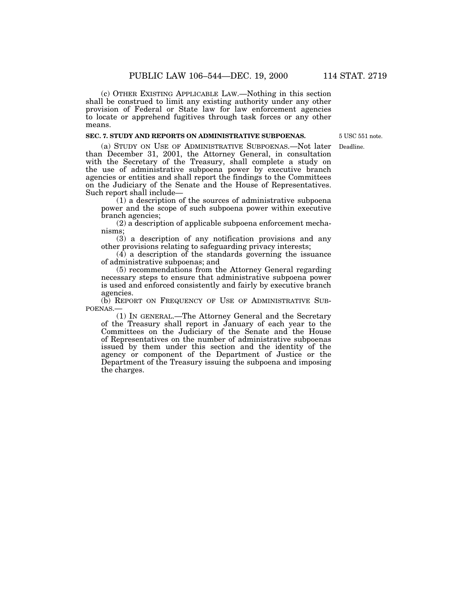(c) OTHER EXISTING APPLICABLE LAW.—Nothing in this section shall be construed to limit any existing authority under any other provision of Federal or State law for law enforcement agencies to locate or apprehend fugitives through task forces or any other means.

# **SEC. 7. STUDY AND REPORTS ON ADMINISTRATIVE SUBPOENAS.**

5 USC 551 note.

Deadline.

(a) STUDY ON USE OF ADMINISTRATIVE SUBPOENAS.—Not later than December 31, 2001, the Attorney General, in consultation with the Secretary of the Treasury, shall complete a study on the use of administrative subpoena power by executive branch agencies or entities and shall report the findings to the Committees on the Judiciary of the Senate and the House of Representatives.

 $(1)$  a description of the sources of administrative subpoena power and the scope of such subpoena power within executive branch agencies;

(2) a description of applicable subpoena enforcement mechanisms;

(3) a description of any notification provisions and any other provisions relating to safeguarding privacy interests;

 $(4)$  a description of the standards governing the issuance of administrative subpoenas; and

(5) recommendations from the Attorney General regarding necessary steps to ensure that administrative subpoena power is used and enforced consistently and fairly by executive branch agencies.

(b) REPORT ON FREQUENCY OF USE OF ADMINISTRATIVE SUB-POENAS.—

(1) IN GENERAL.—The Attorney General and the Secretary of the Treasury shall report in January of each year to the Committees on the Judiciary of the Senate and the House of Representatives on the number of administrative subpoenas issued by them under this section and the identity of the agency or component of the Department of Justice or the Department of the Treasury issuing the subpoena and imposing the charges.